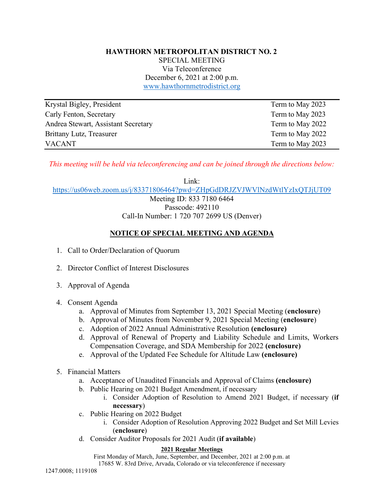## **HAWTHORN METROPOLITAN DISTRICT NO. 2**

SPECIAL MEETING Via Teleconference December 6, 2021 at 2:00 p.m. www.hawthornmetrodistrict.org

| Krystal Bigley, President           | Term to May 2023 |
|-------------------------------------|------------------|
| Carly Fenton, Secretary             | Term to May 2023 |
| Andrea Stewart, Assistant Secretary | Term to May 2022 |
| Brittany Lutz, Treasurer            | Term to May 2022 |
| <b>VACANT</b>                       | Term to May 2023 |

*This meeting will be held via teleconferencing and can be joined through the directions below:*

Link:

https://us06web.zoom.us/j/83371806464?pwd=ZHpGdDRJZVJWVlNzdWtlYzIxQTJjUT09

Meeting ID: 833 7180 6464 Passcode: 492110 Call-In Number: 1 720 707 2699 US (Denver)

## **NOTICE OF SPECIAL MEETING AND AGENDA**

- 1. Call to Order/Declaration of Quorum
- 2. Director Conflict of Interest Disclosures
- 3. Approval of Agenda
- 4. Consent Agenda
	- a. Approval of Minutes from September 13, 2021 Special Meeting (**enclosure**)
	- b. Approval of Minutes from November 9, 2021 Special Meeting (**enclosure**)
	- c. Adoption of 2022 Annual Administrative Resolution **(enclosure)**
	- d. Approval of Renewal of Property and Liability Schedule and Limits, Workers Compensation Coverage, and SDA Membership for 2022 **(enclosure)**
	- e. Approval of the Updated Fee Schedule for Altitude Law **(enclosure)**
- 5. Financial Matters
	- a. Acceptance of Unaudited Financials and Approval of Claims **(enclosure)**
	- b. Public Hearing on 2021 Budget Amendment, if necessary
		- i. Consider Adoption of Resolution to Amend 2021 Budget, if necessary (**if necessary**)
	- c. Public Hearing on 2022 Budget
		- i. Consider Adoption of Resolution Approving 2022 Budget and Set Mill Levies (**enclosure**)
	- d. Consider Auditor Proposals for 2021 Audit (**if available**)

## **2021 Regular Meetings**

First Monday of March, June, September, and December, 2021 at 2:00 p.m. at 17685 W. 83rd Drive, Arvada, Colorado or via teleconference if necessary